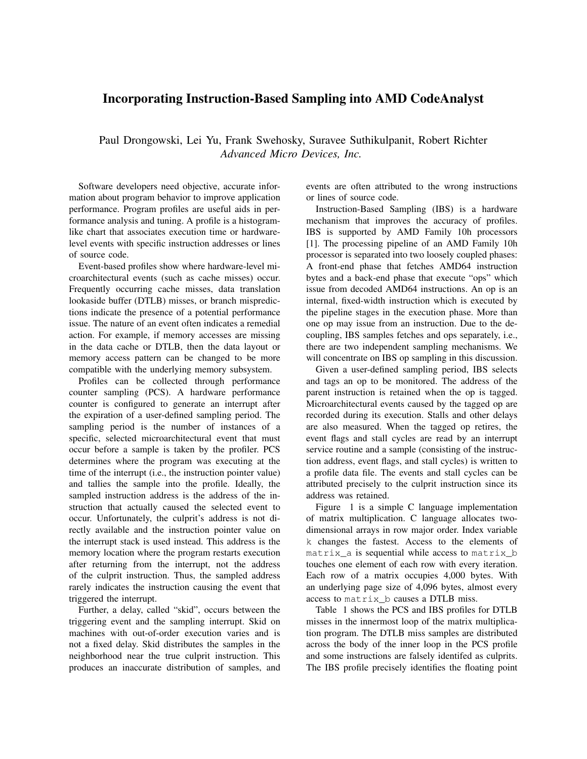## Incorporating Instruction-Based Sampling into AMD CodeAnalyst

Paul Drongowski, Lei Yu, Frank Swehosky, Suravee Suthikulpanit, Robert Richter *Advanced Micro Devices, Inc.*

Software developers need objective, accurate information about program behavior to improve application performance. Program profiles are useful aids in performance analysis and tuning. A profile is a histogramlike chart that associates execution time or hardwarelevel events with specific instruction addresses or lines of source code.

Event-based profiles show where hardware-level microarchitectural events (such as cache misses) occur. Frequently occurring cache misses, data translation lookaside buffer (DTLB) misses, or branch mispredictions indicate the presence of a potential performance issue. The nature of an event often indicates a remedial action. For example, if memory accesses are missing in the data cache or DTLB, then the data layout or memory access pattern can be changed to be more compatible with the underlying memory subsystem.

Profiles can be collected through performance counter sampling (PCS). A hardware performance counter is configured to generate an interrupt after the expiration of a user-defined sampling period. The sampling period is the number of instances of a specific, selected microarchitectural event that must occur before a sample is taken by the profiler. PCS determines where the program was executing at the time of the interrupt (i.e., the instruction pointer value) and tallies the sample into the profile. Ideally, the sampled instruction address is the address of the instruction that actually caused the selected event to occur. Unfortunately, the culprit's address is not directly available and the instruction pointer value on the interrupt stack is used instead. This address is the memory location where the program restarts execution after returning from the interrupt, not the address of the culprit instruction. Thus, the sampled address rarely indicates the instruction causing the event that triggered the interrupt.

Further, a delay, called "skid", occurs between the triggering event and the sampling interrupt. Skid on machines with out-of-order execution varies and is not a fixed delay. Skid distributes the samples in the neighborhood near the true culprit instruction. This produces an inaccurate distribution of samples, and

events are often attributed to the wrong instructions or lines of source code.

Instruction-Based Sampling (IBS) is a hardware mechanism that improves the accuracy of profiles. IBS is supported by AMD Family 10h processors [1]. The processing pipeline of an AMD Family 10h processor is separated into two loosely coupled phases: A front-end phase that fetches AMD64 instruction bytes and a back-end phase that execute "ops" which issue from decoded AMD64 instructions. An op is an internal, fixed-width instruction which is executed by the pipeline stages in the execution phase. More than one op may issue from an instruction. Due to the decoupling, IBS samples fetches and ops separately, i.e., there are two independent sampling mechanisms. We will concentrate on IBS op sampling in this discussion.

Given a user-defined sampling period, IBS selects and tags an op to be monitored. The address of the parent instruction is retained when the op is tagged. Microarchitectural events caused by the tagged op are recorded during its execution. Stalls and other delays are also measured. When the tagged op retires, the event flags and stall cycles are read by an interrupt service routine and a sample (consisting of the instruction address, event flags, and stall cycles) is written to a profile data file. The events and stall cycles can be attributed precisely to the culprit instruction since its address was retained.

Figure 1 is a simple C language implementation of matrix multiplication. C language allocates twodimensional arrays in row major order. Index variable k changes the fastest. Access to the elements of matrix\_a is sequential while access to matrix\_b touches one element of each row with every iteration. Each row of a matrix occupies 4,000 bytes. With an underlying page size of 4,096 bytes, almost every access to matrix\_b causes a DTLB miss.

Table 1 shows the PCS and IBS profiles for DTLB misses in the innermost loop of the matrix multiplication program. The DTLB miss samples are distributed across the body of the inner loop in the PCS profile and some instructions are falsely identifed as culprits. The IBS profile precisely identifies the floating point